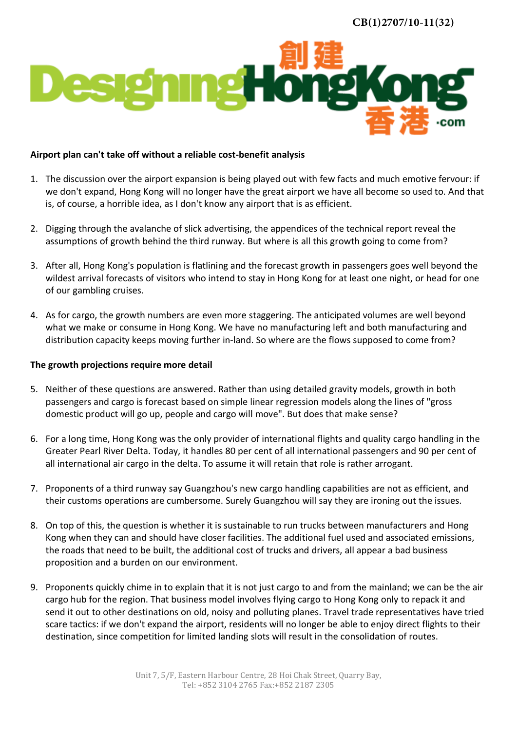

## **Airport plan can't take off without a reliable cost-benefit analysis**

- 1. The discussion over the airport expansion is being played out with few facts and much emotive fervour: if we don't expand, Hong Kong will no longer have the great airport we have all become so used to. And that is, of course, a horrible idea, as I don't know any airport that is as efficient.
- 2. Digging through the avalanche of slick advertising, the appendices of the technical report reveal the assumptions of growth behind the third runway. But where is all this growth going to come from?
- 3. After all, Hong Kong's population is flatlining and the forecast growth in passengers goes well beyond the wildest arrival forecasts of visitors who intend to stay in Hong Kong for at least one night, or head for one of our gambling cruises.
- 4. As for cargo, the growth numbers are even more staggering. The anticipated volumes are well beyond what we make or consume in Hong Kong. We have no manufacturing left and both manufacturing and distribution capacity keeps moving further in-land. So where are the flows supposed to come from?

## **The growth projections require more detail**

- 5. Neither of these questions are answered. Rather than using detailed gravity models, growth in both passengers and cargo is forecast based on simple linear regression models along the lines of "gross domestic product will go up, people and cargo will move". But does that make sense?
- 6. For a long time, Hong Kong was the only provider of international flights and quality cargo handling in the Greater Pearl River Delta. Today, it handles 80 per cent of all international passengers and 90 per cent of all international air cargo in the delta. To assume it will retain that role is rather arrogant.
- 7. Proponents of a third runway say Guangzhou's new cargo handling capabilities are not as efficient, and their customs operations are cumbersome. Surely Guangzhou will say they are ironing out the issues.
- 8. On top of this, the question is whether it is sustainable to run trucks between manufacturers and Hong Kong when they can and should have closer facilities. The additional fuel used and associated emissions, the roads that need to be built, the additional cost of trucks and drivers, all appear a bad business proposition and a burden on our environment.
- 9. Proponents quickly chime in to explain that it is not just cargo to and from the mainland; we can be the air cargo hub for the region. That business model involves flying cargo to Hong Kong only to repack it and send it out to other destinations on old, noisy and polluting planes. Travel trade representatives have tried scare tactics: if we don't expand the airport, residents will no longer be able to enjoy direct flights to their destination, since competition for limited landing slots will result in the consolidation of routes.